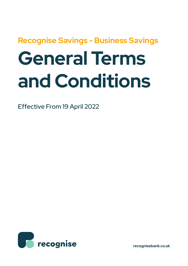# **Recognise Savings - Business Savings General Terms and Conditions**

Effective From 19 April 2022



**recognisebank.co.uk**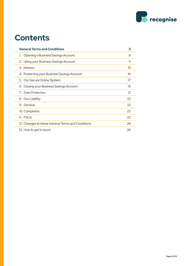

## **Contents**

| <b>General Terms and Conditions</b>               | 3  |
|---------------------------------------------------|----|
| Opening a Business Savings Account<br>1.          | 8  |
| 2. Using your Business Savings Account            | 11 |
| 3. Interest                                       | 15 |
| 4. Protecting your Business Savings Account       | 16 |
| 5. Our Secure Online System                       | 17 |
| 6. Closing your Business Savings Account          | 19 |
| Data Protection<br>7                              | 21 |
| 8. Our Liability                                  | 22 |
| 9. General                                        | 22 |
| 10. Complaints                                    | 23 |
| 11. FSCS                                          | 23 |
| 12. Changes to these General Terms and Conditions | 24 |
| 13. How to get in touch                           | 26 |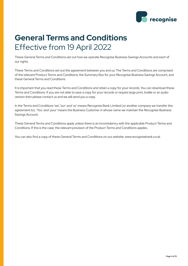

# **General Terms and Conditions**  Effective from 19 April 2022

These General Terms and Conditions set out how we operate Recognise Business Savings Accounts and each of our rights.

These Terms and Conditions set out the agreement between you and us. The Terms and Conditions are comprised of the relevant Product Terms and Conditions, the Summary Box for your Recognise Business Savings Account, and these General Terms and Conditions.

It is important that you read these Terms and Conditions and retain a copy for your records. You can download these Terms and Conditions. If you are not able to save a copy for your records or require large print, braille or an audio version then please contact us and we will send you a copy.

In the Terms and Conditions 'we', 'our' and 'us' means Recognise Bank Limited (or another company we transfer this agreement to). 'You' and 'your' means the Business Customer in whose name we maintain the Recognise Business Savings Account.

These General Terms and Conditions apply unless there is an inconsistency with the applicable Product Terms and Conditions. If this is the case, the relevant provision of the Product Terms and Conditions applies.

You can also find a copy of these General Terms and Conditions on our website: www.recognisebank.co.uk.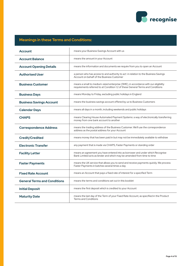

#### **Meanings in these Terms and Conditions:**

| <b>Account</b>                      | means your Business Savings Account with us                                                                                                                           |
|-------------------------------------|-----------------------------------------------------------------------------------------------------------------------------------------------------------------------|
| <b>Account Balance</b>              | means the amount in your Account                                                                                                                                      |
| <b>Account Opening Details</b>      | means the information and documents we require from you to open an Account                                                                                            |
| <b>Authorised User</b>              | a person who has access to and authority to act in relation to the Business Savings<br>Account on behalf of the Business Customer                                     |
| <b>Business Customer</b>            | means a small to medium-sized enterprise (SME), in accordance with our eligibility<br>requirements referred to at Condition 1.2 of these General Terms and Conditions |
| <b>Business Days</b>                | means Monday to Friday, excluding public holidays in England                                                                                                          |
| <b>Business Savings Account</b>     | means the business savings account offered by us to Business Customers                                                                                                |
| <b>Calendar Days</b>                | means all days in a month, including weekends and public holidays                                                                                                     |
| <b>CHAPS</b>                        | means Clearing House Automated Payment Systems: a way of electronically transferring<br>money from one bank account to another                                        |
| <b>Correspondence Address</b>       | means the trading address of the Business Customer. We'll use the correspondence<br>address as the postal address for your Account                                    |
| <b>Credit/Credited</b>              | means money that has been paid in but may not be immediately available to withdraw                                                                                    |
| <b>Electronic Transfer</b>          | any payment that is made via CHAPS, Faster Payments or standing order                                                                                                 |
| <b>Facility Letter</b>              | means an agreement you have entered into as borrower and under which Recognise<br>Bank Limited acts as lender and which may be amended from time to time              |
| <b>Faster Payments</b>              | means the UK service that allows you to send and receive payments quickly. We process<br>Faster Payments in batches several times a day                               |
| <b>Fixed Rate Account</b>           | means an Account that pays a fixed rate of interest for a specified Term                                                                                              |
| <b>General Terms and Conditions</b> | means the terms and conditions set out in this booklet                                                                                                                |
| <b>Initial Deposit</b>              | means the first deposit which is credited to your Account                                                                                                             |
| <b>Maturity Date</b>                | means the last day of the Term of your Fixed Rate Account, as specified in the Product<br><b>Terms and Conditions</b>                                                 |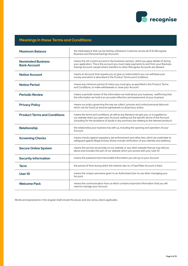

#### **Meanings in these Terms and Conditions:**

| <b>Maximum Balance</b>                           | the total balance that can be held by a Business Customer across all of its Recognise<br><b>Business and Personal Savings Accounts</b>                                                                                                                                          |
|--------------------------------------------------|---------------------------------------------------------------------------------------------------------------------------------------------------------------------------------------------------------------------------------------------------------------------------------|
| <b>Nominated Business</b><br><b>Bank Account</b> | means the UK current account in the business name(s) which you gave details of during<br>your application. This is the account you must make payments to and from your Business<br>Savings Account, except where transfers to other Recognise Accounts are allowed              |
| <b>Notice Account</b>                            | means an Account that requires you to give us notice before you can withdraw your<br>money and which is described in the Product Terms and Conditions                                                                                                                           |
| <b>Notice Period</b>                             | means any minimum period of notice you must give, as specified in the Product Terms<br>and Conditions, to make withdrawals or close your Account                                                                                                                                |
| <b>Periodic Review</b>                           | means a periodic review of the information we hold about your business, reaffirming that<br>the information we hold is an accurate reflection and assessment of your business                                                                                                   |
| <b>Privacy Policy</b>                            | means our policy governing the way we collect, process and control personal data and<br>which can be found at www.recognisebank.co.uk/privacy-policy                                                                                                                            |
| <b>Product Terms and Conditions</b>              | means the terms and conditions, as well as any literature we give you, or is supplied on<br>our website when you open your Account, setting out the specific terms of the Account<br>(including for the avoidance of doubt in any summary box relating to the relevant product) |
| Relationship                                     | the relationship your business has with us, including the opening and operation of your<br>Account                                                                                                                                                                              |
| <b>Screening Checks</b>                          | means checks against regulatory, law enforcement and other lists, which we undertake to<br>safeguard against illegal activity (these include verification of your identity and address)                                                                                         |
| <b>Secure Online System</b>                      | means the service we provide on our website or any other website that we may tell you<br>about and includes the part of our website which you access with your User ID                                                                                                          |
| <b>Security Information</b>                      | means the password and memorable information you set up on your Account                                                                                                                                                                                                         |
| <b>Term</b>                                      | the period of time during which the interest rate on a Fixed Rate Account is fixed                                                                                                                                                                                              |
| <b>User ID</b>                                   | means the unique username given to an Authorised User to use when managing your<br>Account                                                                                                                                                                                      |
| <b>Welcome Pack</b>                              | means the communication from us which contains important information that you will<br>need to manage your Account                                                                                                                                                               |

Words and expressions in the singular shall include the plural, and vice versa, where applicable.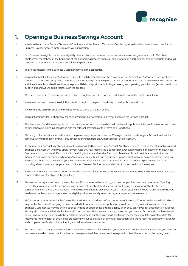

## **1. Opening a Business Savings Account**

- 1.1. You should read these General Terms and Conditions and the Product Terms and Conditions, as well as the current interest rate for our Business Savings Account, before making your application.
- 1.2. Our Business Savings Accounts have eligibility criteria, which can be found on our website at www.recognisebank.co.uk. We'll check whether you meet these at the beginning of the onboarding process when you apply for one of our Business Savings Accounts and we will continue to monitor this throughout our relationship with you.
- 1.3. The Account holder is the Business Customer named in the application.
- 1.4. You must appoint at least one Authorised User, with a valid email address, who can access your Account. An Authorised User must be a director of a company, designated member of a limited liability partnership or a partner of your business, or the sole owner. You can add an additional three Authorised Users to manage your Relationship with us, including accessing and operating your Account(s). You can do this by calling us and we will guide you through the process.
- 1.5. We accept and process applications made online through our website. If we need additional information, we'll contact you.
- 1.6. You must continue to meet the eligibility criteria throughout the period in which you hold an Account with us.
- 1.7. If we revise the eligibility criteria, we will notify you of these changes in writing.
- 1.8. You must promptly tell us about any changes affecting your potential eligibility for our Business Savings Account.
- 1.9. The Terms and Conditions will apply from the date your Account is opened and will continue to apply indefinitely until you or we end them, or they otherwise expire in accordance with the relevant provisions of the Terms and Conditions.
- 1.10. We'll ask you for Security Information which helps us keep your Account secure. When you contact us about your Account we'll ask for some Security Information and we'll only accept information from an Authorised User of the Account.
- 1.11. To operate your Account, you'll need to link it to a Nominated Business Bank Account. You'll need to give us the details of your Nominated Business Bank Account when you apply for your Account. Your Nominated Business Bank Account must be in the name of the Business Customer and it must be a UK account with the ability to make and receive Electronic Transfers. You will use this account to transfer money to and from your Business Savings Account and can only link one Nominated Business Bank Account across all of your Business Savings Accounts. You may change your Nominated Business Bank Account by writing to us at the address given in Section 13 and providing a bank statement for your new Nominated Business Bank Account, dated within three months of the request.
- 1.12. You confirm that any money you deposit is not the proceeds of any criminal offence, whether committed by you or by another person, or connected to any other type of illegal activity.
- 1.13. We reserve the right to refuse to open an Account if, in our reasonable opinion, you have not provided satisfactory Account Opening Details. We may also refuse to accept opening deposits at our absolute discretion without giving any reason. We'll not enter into correspondence in these circumstances. . We also have the right to close your Account under clause 6.3 if following any Periodic Review we determine that you no longer meet the eligibility criteria or satisfy any other legal or regulatory requirements.
- 1.14. We'll not open your Account until we've verified the identity and address of and undertaken Screening Checks on the individuals (which may be the Authorised User(s)) you have provided information on in your application, as well performing validation checks on the Business Customer. We may do this electronically using an appropriate external agency and/ or by asking you for documentary evidence. We may also carry out a Periodic Review and/or further due diligence checks at any time whilst you have an Account with us. Please refer to our Privacy Policy which details the legal basis for carrying out the Screening Checks and the measures we take to protect data. We reserve the right to delay or decline the processing of your application, or any other instruction, until we've received satisfactory evidence and completed verification of your identity and address to our satisfaction.
- 1.15. We cannot accept money sent to us until we've received evidence of and verified your identity and address to our satisfaction, your Account has been opened and an account number has been generated. Any monies sent to us prior to this will be returned to the paying bank.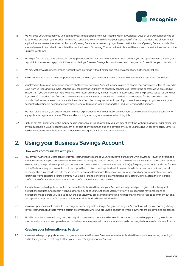

- 1.16. We will close your Account if you've not made your Initial Deposit into your Account within 30 Calendar Days of your Account opening or as otherwise set out in your Product Terms and Conditions. We may also cancel your application if after 30 Calendar Days of your initial application, we have not received all Account Opening Details as requested by us, or based on the Account Opening Details provided by you, we have not been able to complete the verification and Screening Checks on the Authorised User(s) and the validation checks on the Business Customer.
- 1.17. We might, from time to time, issue other savings products with similar or different terms without offering you the opportunity to transfer your deposit into the new savings product. If we stop offering a Business Savings Account to new customers, we don't need to let you know about it.
- 1.18. We may withdraw a Business Savings Account from our range without notice and refuse to accept any further applications.
- 1.19. You're entitled to make an Initial Deposit into, access and use your Account in accordance with these General Terms and Conditions.
- 1.20. Your Product Terms and Conditions confirm whether your particular Account includes a right to cancel your agreement within 14 Calendar Days from us receiving your Initial Deposit. You can exercise your right to cancel by sending us a letter to the address we've provided at Section 13. If you exercise your right to cancel, we'll return any money in your Account, in accordance with the process set out at Condition 6.1, within 30 Calendar Days from the date we receive your cancellation notice. We may deduct any charges for the service we have provided before we received your cancellation notice from the money we return to you. If you do not exercise your right to cancel, your Account will continue in accordance with these General Terms and Conditions and the Product Terms and Conditions.
- 1.21. We may refuse to carry out any instruction without explanation where, in our reasonable opinion, to do so would or could be contrary to any applicable regulations or laws. We are under no obligation to give you a reason for doing this.
- 1.22. Right of set off Except where the money held in your Account is not owned by you, we may at any time, without giving you prior notice, use any amount held in your Account to pay off all or part of any sum then due and payable by you to us, including under any Facility Letter(s) you have entered into as borrower and under which Recognise Bank Limited acts as lender.

## **2. Using your Business Savings Account**

#### **How we'll communicate with you**

- 2.1. Any of your Authorised Users can give us your instructions to manage your Account via our Secure Online System. However, if you need additional assistance you can also telephone or email us, using the contact details set out below or on our website. In some circumstances we may ask you to provide supporting documentation before we can carry out your instruction(s). By giving us instructions via our Secure Online System, you give consent for us to act upon them. This consent applies to all future and multiple transactions until you cancel or change them in accordance with these General Terms and Conditions. Do not assume we've received any notice or instruction from you unless we've contacted you to confirm. If you make, change or cancel a payment using our Secure Online System the on-screen confirmation of that instruction is your written confirmation that we have received it.
- 2.2. If you tell us about a dispute or conflict between the Authorised Users of your Account, we may need you to give us all subsequent instructions about the Account in writing, authorised by all of your Authorised Users. We won't be responsible for transactions or instructions made before you told us about the dispute. If you are giving us conflicting instructions, we may refuse to carry them out and/ or suspend transactions or further instructions until all Authorised Users confirm them.
- 2.3. You may, upon reasonable notice to us, change or cancel any instruction you've given us for your Account. We will try to act on any changes to your instructions but there may be certain circumstances where we are unable to, such as where payments are already being processed.
- 2.4. We will contact you by email or by post. We may also sometimes contact you by telephone. It is important to keep your email, telephone number and postal address up to date as this is the primary way we will contact you. You should check regularly for emails or letters from us.

#### **Keeping your information up to date**

2.5. You must tell us promptly about any changes to you as the Business Customer or to the Authorised User(s) of the Account, including in particular any updates that might affect your business' eligibility for an Account.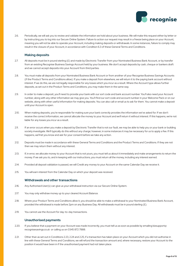

2.6. Periodically, we will ask you to review and validate the information we hold about your business. We will make this request either by letter or by instructing you to log into our Secure Online System. Failure to action our request may result in a freeze being place on your Account, meaning you will not be able to operate your Account, including making deposits or withdrawals. In some instances, failure to comply may result in the closure of your Account, in accordance with Condition 6.3 of these General Terms and Conditions.

#### **Making deposits**

- 2.7. All deposits must be in pound sterling (£) and made by Electronic Transfer from your Nominated Business Bank Account, or by transfer from an existing Recognise Business Savings Account held by your business. We don't accept deposits by cash, cheque or bankers draft and we cannot accept deposits into your Account from third parties.
- 2.8. You must make all deposits from your Nominated Business Bank Account or from another of your Recognise Business Savings Accounts (if the Product Terms and Conditions allow). If you make a deposit from elsewhere, we will return it to the paying bank account without interest. If we do this, we are not legally responsible for any losses which you incur as a result. Where the Account type allows further deposits, as set out in the Product Terms and Conditions, you may make them in the same way.
- 2.9. In order to make a deposit, you'll need to provide your bank with our sort code and bank account number. You'll also need your Account number, along with any other information we may give you. You'll find our sort code and account number in your Welcome Pack or on our website, along with other useful information for making deposits. You can also call or email us to ask for them. You cannot make a deposit until your Account is open.
- 2.10. When making deposits, you're responsible for making sure your bank correctly provides the information we've asked for. If we don't receive the correct information, we cannot allocate the money to your Account and we'll return it without interest. If this happens, we're not liable for any losses you incur as a result.
- 2.11. If an error occurs when you make a deposit by Electronic Transfer that is not our fault, we may be able to help you or your bank or building society investigate. We'll typically do this without any charge; however, in some instances it may be necessary for us to apply a fee. If this happens, we'll let you know and ask for your consent before we take any action.
- 2.12. Deposits must be made in accordance with these General Terms and Conditions and the Product Terms and Conditions. If they are not then we may return them without any interest.
- 2.13. If, in error, we allocate money to your Account that is not yours, you must tell us about it immediately and make arrangements to return the money. If we ask you to, and in keeping with our instructions, you must return all the money, including any interest earned.
- 2.14. Provided all deposit validation is passed, we will Credit any money to your Account on the same Calendar Day we receive it.
- 2.15. You will earn interest from the Calendar Day on which your deposit was received.

#### **Withdrawals and other transactions**

- 2.16. Any Authorised User(s) can give us your withdrawal instruction via our Secure Online System.
- 2.17. You may only withdraw money up to your cleared Account Balance.
- 2.18. Where your Product Terms and Conditions allow it, you should be able to make a withdrawal to your Nominated Business Bank Account, provided the withdrawal is made before 2pm on any Business Day. All withdrawals must be in pound sterling (£).
- 2.19. You cannot use the Account for day-to-day transactions.

#### **Unauthorised payments**

- 2.20. If you believe that a payment on your Account was made incorrectly, you must tell us as soon as possible by emailing bizsupport@ recognisesavings.co.uk or calling us on 0345 872 7888.
- 2.21. Other than as set out in Conditions 2.23, 2.24 and 2.25, if a transaction has taken place on your Account which you did not authorise in line with these General Terms and Conditions, we will refund the transaction amount and, where necessary, restore your Account to the position it would have been in if the unauthorised payment had not taken place.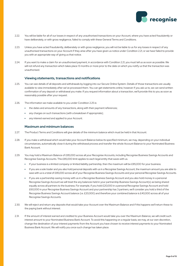

- 2.22. You will be liable for all of our losses in respect of any unauthorised transactions on your Account, where you have acted fraudulently or have deliberately, or with gross negligence, failed to comply with these General Terms and Conditions.
- 2.23. Unless you have acted fraudulently, deliberately or with gross negligence, you will not be liable to us for any losses in respect of any unauthorised transactions on your Account if they arise after you have given us notice under Condition 2.21, or we have failed to provide you with an appropriate way of giving us that notice.
- 2.24. If you want to make a claim for an unauthorised payment, in accordance with Condition 2.21, you must tell us as soon as possible. We will not refund any transaction which takes place 13 months or more prior to the date on which you notify us that the transaction was unauthorised.

#### **Viewing statements, transactions and notifications**

- 2.25. You can see details of all deposits and withdrawals by logging into our Secure Online System. Details of those transactions are usually available to view immediately after we've processed them. You can get statements online, however if you ask us to, we can send written confirmation of any deposit or withdrawal you make. If you request information about a transaction, we'll provide this to you as soon as reasonably possible after your request.
- 2.26. The information we make available to you under Condition 2.25 is:
	- the dates and amounts of any transactions, along with their payment references;
	- any charges on such transactions (with a breakdown if appropriate);
	- any interest earned and applied to your Account.

#### **Maximum and minimum balances**

- 2.27. The Product Terms and Conditions will give details of the minimum balance which must be held in that Account.
- 2.28. If you make a withdrawal which would take your Account Balance below its specified minimum, we may, depending on your individual circumstances, automatically close it during the withdrawal process and transfer the whole Account Balance to your Nominated Business Bank Account.
- 2.29. You may hold a Maximum Balance of £85,000 across all your Recognise Accounts, including Recognise Business Savings Accounts and Recognise Savings Accounts. This £85,000 limit applies to each legal entity that saves with us.
	- If your business is a limited company or limited liability partnership, then the maximum will be £85,000 for your business.
	- If you are a sole trader and you also hold personal deposits with us in a Recognise Savings Account, the maximum amount you are able to save with us is a total of £85,000 across all of your Recognise Business Savings Accounts and your personal Recognise Savings Accounts.
	- If you are a partnership saving money with us in a Recognise Business Savings Account and you also hold money in a personal Recognise Savings Account we will treat the any balances held in your partnership Business Savings Account(s) as being shared equally across all partners to the business. For example, if you hold £20,000 in a personal Recognise Savings Account and hold £60,000 in your Recognise Business Savings Account and your partnership has 3 partners, we'll consider you hold a third of the Recognise Business Savings Account balance (i.e. £20,000) and therefore your combined balance is £40,000 across all of your Recognise Savings Accounts.
- 2.30. We will reject and return any deposits that would take your Account over the Maximum Balance and if this happens we'll return these to the paying bank without interest.
- 2.31. If the amount of interest earned and credited to your Business Account would take you over the Maximum Balance, we will credit such interest amount to your Nominated Business Bank Account. To avoid this happening on a regular basis, we may, at our own discretion, change the destination of your interest payments from the Account you have chosen to receive interest payments to your Nominated Business Bank Account. We will notify you once such change has taken place.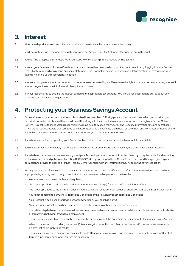

## **3. Interest**

- 3.1. When you deposit money into an Account, you'll earn interest from the day we receive the money.
- 3.2. You'll earn interest on any amount you withdraw from your Account until the Calendar Day prior to your withdrawal.
- 3.3. You can find all applicable interest rates on our website or by logging into our Secure Online System.
- 3.4. You can get a "summary of interest" to show how much interest has been paid on your Account at any time by logging in to our Secure Online System. You will also receive an annual statement. This information can be used when calculating any tax you may owe on your savings, which it is your responsibility to declare.
- 3.5. Interest is paid gross without the deduction of tax, whenever permitted by law. We reserve the right to deduct tax before paying interest if laws and regulations come into force which require us to do so.
- 3.6. It's your responsibility to declare the interest earned to the appropriate tax authority. You should seek appropriate advice about any change in tax regulations and guidance.

## **4. Protecting your Business Savings Account**

- 4.1. Once we've set up your Account we'll send Authorised User(s) a User ID. During your application, we'll have asked you to set up your Security Information. Authorised User(s) will need this, along with their User ID to operate your Account through our Secure Online System. It is each Authorised User's responsibility to make sure they keep their User ID and Security Information safe and secret at all times. Do not select answers that someone could easily guess and do not write them down or save them on a computer or mobile phone. If you think, or know, someone has access to this information, you must tell us immediately.
- 4.2. If you have any problems operating your Account online or discover an error, you should tell us about it immediately.
- 4.3. You must contact us immediately if you suspect any fraudulent, or other unauthorised activity, has taken place on your Account.
- 4.4. If you believe that someone has fraudulently used your Account, you should report it to Action Fraud by using the online fraud reporting tool at www.actionfraud.police.uk or by calling 0300 123 2040. By agreeing to these General Terms and Conditions you give us your permission to provide the police, or other Financial Crime Agencies, with any information they need during any investigation.
- 4.5. We may suspend or refuse to carry out transactions on your Account if we identify adverse information, we're ordered to do so by an appropriate legal or regulatory body or authority, or if we have reasonable grounds to believe that:
	- We're required to do so under law and requlation;
	- You haven't provided sufficient information on your Authorised User(s) for us to confirm their identity(ies);
	- You haven't provided sufficient information on your business for us to conduct validation checks on you, as the Business Customer;
	- You're not adhering to our General Terms and Conditions or the relevant Product Terms and Conditions;
	- Your Account is being used for illegal purposes (whether by you or a third party);
	- Your Security Information has been lost, stolen or may be known to or being used by someone else;
	- <sup>l</sup> The relationship between us has broken down and in our reasonable view cannot be repaired (for example you've acted with abusive or threatening behaviour towards our employees);
	- <sup>l</sup> There's a dispute (which we reasonably believe may be genuine) about the ownership or entitlement to the money in your Account;
	- <sup>l</sup> A bankruptcy or wind-up order (or equivalent) is made against an Authorised User or the Business Customer, or we reasonably believe that one is likely to be made;
	- There are circumstances beyond our reasonable control that prevent us from offering a normal service (such as an act or threat of terrorism, pandemic or computer failure not caused by us).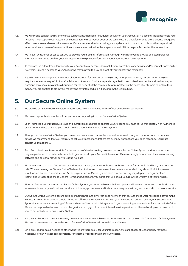

- 4.6. We will try and contact you by phone if we suspect unauthorised or fraudulent activity on your Account or if a security incident affects your Account. If we suspend your Account or a transaction, we'll tell you as soon as we can unless it is unlawful for us to do so or it has a negative effect on our reasonable security measures. Once you've received our notice, you may be able to contact us to discuss the suspension in more detail. As soon as we've resolved the circumstances that led to the suspension, we'll lift it from your Account or the transaction.
- 4.7. We'll never write, email or call to ask you to provide your Security Information. Although we will ask you to provide selected personal information in order to confirm your identity before we give you information about your Account by telephone.
- 4.8. To mitigate the risk of fraudulent activity, your Account may become dormant if there hasn't been any activity and/or contact from you for five years. To regain access to your Account we may ask you to provide proof of your identity and residency.
- 4.9. If you have made no deposits into or out of your Account for 15 years or more (or any other period given by law and regulation) we may transfer any money left in it to a 'reclaim fund'. A reclaim fund is a separate organisation authorised to accept unclaimed money in 'dormant' bank accounts which is distributed for the benefit of the community, while protecting the rights of customers to reclaim their money. You are entitled to claim your money and any interest due on it back from the reclaim fund.

## **5. Our Secure Online System**

- 5.1. We provide our Secure Online System in accordance with our Website Terms of Use available on our website.
- 5.2. We can accept online instructions from you as soon as you log in to our Secure Online System.
- 5.3. Each Authorised User must have a valid and current email address to operate your Account. You must tell us immediately if an Authorised User's email address changes; you should do this through the Secure Online System.
- 5.4. Through our Secure Online System you can review balance and transactions as well as request changes to your Account or personal details. We recommend that you regularly check your transactions. If there are ever any transactions you don't recognise, you must contact us immediately.
- 5.5. Each Authorised User is responsible for the security of the device they use to access our Secure Online System and for making sure they are protected from external attempts to gain access to your Account information. We also strongly recommend their virus checking software and personal firewall software is up-to-date.
- 5.6. We recommend that each Authorised User does not access your Account from a public computer, for example, in a library or an internet café. When accessing our Secure Online System, if an Authorised User leaves their device unattended, they should lock it to prevent unauthorised access to your Account. Accessing our Secure Online System from another country may depend on legal or other restrictions. By accepting these General Terms and Conditions, you agree that use of our Secure Online System is at your own risk.
- 5.7. When an Authorised User uses our Secure Online System, you must make sure their computer and internet connection comply with any requirements we tell you about. You must also follow any procedures and instructions we give you in any communication or on our website.
- 5.8. Our Secure Online System is secure but disconnection from the internet does not mean that an Authorised User has logged off from the website. Each Authorised User should always log off when they have finished with your Account. For added security, our Secure Online System includes an automatic log off feature where we'll automatically log you off if you do nothing on our website for a set period of time. We are not responsible for any costs or charges incurred by you from your internet service provider or other network provider in order to access our website of Secure Online System.
- 5.9. For technical or other reasons there may be times when you are unable to access our website or some or all of our Secure Online System. We cannot guarantee that our website and Secure Online System will be available at all times.
- 5.10. Links provided from our website to other websites are there solely for your information. We cannot accept responsibility for these websites. Nor can we accept responsibility for external websites that link to our website.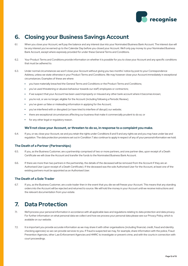

## **6. Closing your Business Savings Account**

- 6.1. When you close your Account, we'll pay the balance and any interest due into your Nominated Business Bank Account. The interest due will be any interest you've earned up to the Calendar Day before you closed your Account. We'll only pay money to your Nominated Business Bank Account, except where expressly provided for under these General Terms and Conditions.
- 6.2. Your Product Terms and Conditions provide information on whether it is possible for you to close your Account and any specific conditions that must be adhered to.
- 6.3. Under normal circumstances we won't close your Account without giving you two months' notice by post to your Correspondence Address, unless we state otherwise in your Product Terms and Conditions. We may however close your Account immediately in exceptional circumstances. Examples of these are where:
	- <sup>l</sup> you have materially breached the General Terms and Conditions or the Product Terms and Conditions;
	- <sup>l</sup> you've used threatening or abusive behaviour towards our staff, employees or contractors;
	- if we suspect that your Account has been used improperly or misused any other bank account where it becomes known;
	- <sup>l</sup> you're not, or are no longer, eligible for the Account (including following a Periodic Review);
	- you've given us false or misleading information in applying for the Account;
	- <sup>l</sup> you've interfered with or disrupted (or have tried to interfere of disrupt) our website;
	- <sup>l</sup> there are exceptional circumstances affecting our business that make it commercially prudent to do so; or
	- for any other legal or regulatory reason.

#### **We'll not close your Account, or threaten to do so, in response to a complaint you make.**

6.4. If you, or we, close your Account, we and you retain the rights under Conditions 8 and 9 and any rights we and you may have under law and regulation. The data protection provisions set out in Condition 7 also continue to apply in respect of any of your personal information we hold.

#### **The Death of a Partner (Partnerships)**

- 6.5. If you, as the Business Customer, are a partnership comprised of two or more partners, and one partner dies, upon receipt of a Death Certificate we will close the Account and transfer the funds to the Nominated Business Bank Account.
- 6.6. If there are more than two partners in the partnership, the details of the deceased will be removed from the Account if they are an Authorised User (upon receipt of a Death Certificate). If the deceased was the sole Authorised User for the Account, at least one of the existing partners must be appointed as an Authorised User.

#### **The Death of a Sole Trader**

6.7. If you, as the Business Customer, are a sole trader then in the event that you die we will freeze your Account. This means that any standing orders into the Account will be rejected and returned to source. We will hold the money in your Account until we receive instructions and the relevant documentation from your estate.

#### **7. Data Protection**

- 7.1. We'll process your personal information in accordance with all applicable laws and regulations relating to data protection and data privacy. For further information on what personal data we collect and how we process your personal data please see our Privacy Policy, which is available on our website.
- 7.2. It is important you provide accurate information as we may share it with other organisations (including financial, credit, fraud and identity checking agencies) so we can provide services to you. If fraud is suspected we may, for example, share information with the police, Fraud Prevention Agencies, other Law Enforcement Agencies and HMRC to investigate or prevent crime, and with the courts in connection with court proceedings.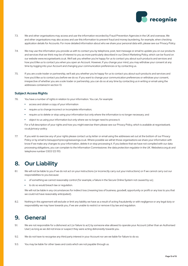

- 7.3. We and other organisations may access and use the information recorded by Fraud Prevention Agencies in the UK and overseas. We and other organisations may also access and use this information to prevent fraud and money laundering, for example, when checking application details for Accounts. For more detailed information about who we share your personal data with, please see our Privacy Policy.
- 7.4. We may use the information you provide us with to contact you by telephone, post, text message or email to update you on our products and services that we think may be of interest to you as more particularly described in our Direct Marketing Policy, which can be found on our website www.recognisebank.co.uk. We'll ask you whether you're happy for us to contact you about such products and services and how you'd like us to contact you when you open an Account. However, if you change your mind, you may withdraw your consent at any time by logging into your Account and changing your communication preferences or by contacting us.
- 7.5. If you are a sole trader or partnership, we'll ask you whether you're happy for us to contact you about such products and services and how you'd like us to contact you before we do so. If you want to change your communication preferences or withdraw your consent, irrespective of whether you are a sole trader or partnership, you can do so at any time by contacting us in writing or email using the addresses contained in section 13.

#### **Subject Access Rights**

- 7.6. You have a number of rights in relation to your information. You can, for example:
	- access and obtain a copy of your information
	- require us to change incorrect or incomplete information;
	- require us to delete or stop using your information but only where the information is no longer necessary; and
	- <sup>l</sup> object to us using your information but only where we no longer need to process it.

 For a full description of your rights and how you might exercise them please see our Privacy Policy, which is available at regonisebank. co.uk/privacy-policy.

7.7. If you wish to exercise any of your rights please contact us by letter or email using the addresses set out at the bottom of our Privacy Policy or by email to bizsupport@recognisesavings.co.uk. Where possible we will let those organisations we share your information with know if we make any changes to your information, delete it or stop processing it. If you believe that we have not complied with our data processing obligations, you can complain to the Information Commissioner, the data protection regulator in the UK. Websiteico.org.uk and telephone number 0303 123 1113.

## **8. Our Liability**

- 8.1. We will not be liable to you if we do not act on your instructions (or incorrectly carry out your instructions) or if we cannot carry out our responsibilities to you because:
	- of something we cannot reasonably control (for example, a failure in the Secure Online System not caused by us);
	- $\bullet$  to do so would breach law or regulation.

We will not be liable in any circumstances for indirect loss (meaning loss of business, goodwill, opportunity or profit or any loss to you that we could not have reasonably anticipated).

8.2. Nothing in this agreement will exclude or limit any liability we have as a result of acting fraudulently or with negligence or any legal duty or responsibility we may have towards you, if we are unable to restrict or remove it by law and regulation.

## **9. General**

- 9.1. We are not responsible for a dishonest act (or failure to act) by someone else allowed to operate your Account (other than an Authorised User) as long as we did not know or suspect they were acting dishonestly towards you.
- 9.2. We do not have to recognise any third party interest in your Account nor are we liable for failure to do so.
- 9.3. You may be liable for other taxes and costs which are not payable through us.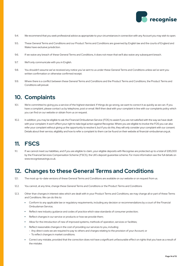

- 9.4. We recommend that you seek professional advice as appropriate to your circumstances in connection with any Account you may wish to open.
- 9.5. These General Terms and Conditions and our Product Terms and Conditions are governed by English law and the courts of England and Wales have exclusive jurisdiction.
- 9.6. If we waive any breach of these General Terms and Conditions, it does not mean that we'll also waive any subsequent breach.
- 9.7. We'll only communicate with you in English.
- 9.8. You shouldn't assume we've received any notice you've sent to us under these General Terms and Conditions unless we've sent you written confirmation or otherwise confirmed receipt.
- 9.9. Where there is a conflict between these General Terms and Conditions and the Product Terms and Conditions, the Product Terms and Conditions will prevail.

## **10. Complaints**

- 10.1. We're committed to giving you a service of the highest standard. If things do go wrong, we want to correct it as quickly as we can. If you have a complaint, please contact us by telephone, post or email. We'll then deal with your complaint in line with our complaints policy which you can find on our website or obtain from us on request.
- 10.2. In addition, you may be eligible to ask the Financial Ombudsman Service (FOS) to assist if you are not satisfied with the way we have dealt with your complaint. It won't affect your right to take legal action against Recognise. Where you are eligible to involve the FOS you can also refer your complaint without giving us the opportunity to resolve it, but if you do this, they will only consider your complaint with our consent. Details about their service, eligibility and how to refer a complaint to them can be found on their website at financial-ombudsman.org.uk.

## **11. FSCS**

11.1. If we cannot meet our liabilities, and if you are eligible to claim, your eligible deposits with Recognise are protected up to a total of £85,000 by the Financial Services Compensation Scheme (FSCS), the UK's deposit guarantee scheme. For more information see the full details on www.recognisesavings.co.uk.

#### **12. Changes to these General Terms and Conditions**

- 12.1. The most up-to-date versions of these General Terms and Conditions are available on our website or on request from us.
- 12.2. You cannot, at any time, change these General Terms and Conditions or the Product Terms and Conditions
- 12.3. Other than changes in interest rates which are dealt with in your Product Terms and Conditions, we may change all or part of these Terms and Conditions. We can do this to:
	- <sup>l</sup> Conform to any applicable law or regulatory requirements, including any decision or recommendations by a court of the Financial Ombudsman Service;
	- Reflect new industry guidance and codes of practice which raise standards of consumer protection;
	- Reflect changes in our service or products or how we provide them;
	- Allow for the introduction of new of improved systems, methods of operation, services or facilities;
	- Reflect reasonable changes in the cost of providing our services to you, including:
		- Any direct costs we are required to pay to others and charges relating to the provision of your Account; or
		- To reflect changes in market conditions.
	- Correct any mistake, provided that the correction does not have a significant unfavourable effect on rights that you have as a result of the mistake.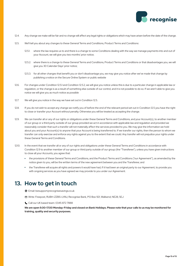

- 12.4. Any change we make will be fair and no change will affect any legal rights or obligations which may have arisen before the date of the change.
- 12.5. We'll tell you about any changes to these General Terms and Conditions, Product Terms and Conditions:
	- 12.5.1. where the law requires us to and there is a change to some Conditions dealing with the way we manage payments into and out of your Account, we will give you two months' prior notice;
	- 12.5.2. where there is a change to these General Terms and Conditions, Product Terms and Conditions or that disadvantages you, we will give you 30 Calendar Days' prior notice;
	- 12.5.3. for all other changes that benefit you or don't disadvantage you, we may give you notice after we've made that change by publishing a notice on the Secure Online System or public website
- 12.6. For changes under Condition 12.5.1 and Condition 12.5.2, we will give you notice unless this is due to a particular change in applicable law or regulation, or the change is as a result of something else outside of our control, and it is not possible to do so. If we aren't able to give you notice we will give you as much notice as possible
- 12.7. We will give you notice in the way we have set out in Condition 12.5.
- 12.8. If you do not wish to accept any change we notify you of before the end of the relevant period set out in Condition 12.5 you have the right to close or transfer your Account without penalty. Otherwise you will be treated as accepting the change.
- 12.9. We can transfer all or any of our rights or obligations under these General Terms and Conditions, and your Account(s), to another member of our group or a third party outside of our group provided we act in accordance with applicable law and regulation and provided we reasonably consider that such a transfer will not materially affect the services provided to you. We may give the information we hold about you and your Account(s) to anyone that your Account is being transferred to. If we transfer our rights, then the person to whom we transfer can only exercise and enforce any rights against you to the extent that we could. Any transfer will not prejudice your rights under these General Terms and Conditions.
- 12.10. In the event that we transfer all or any of our rights and obligations under these General Terms and Conditions in accordance with Condition 12.9 to another member of our group or third party outside of our group (the "Transferee"), unless you have given instructions to close all your Accounts, you agree that:
	- the provisions of these General Terms and Conditions, and the Product Terms and Conditions ("our Agreement"), as amended by the notice given to you, will be the written terms of the new agreement between you and the Transferee; and
	- <sup>l</sup> the Transferee will acquire all rights and powers it would have had, if it had been an original party to our Agreement, to provide you with ongoing services as you have agreed we may provide to you under our Agreement.

### **13. How to get in touch**

- Email: bizsupport@recognisesavings.co.uk
- Write: Freepost, RUBH-ZZBS-LYAU, Recognise Bank, PO Box 921, Wallsend, NE28, 5EJ
- Call our UK based team: 0345 872 7888

 **We are open 9.00-17.00 Monday-Friday and closed on Bank Holidays. Please note that your calls to us may be monitored for training, quality and security purposes.**